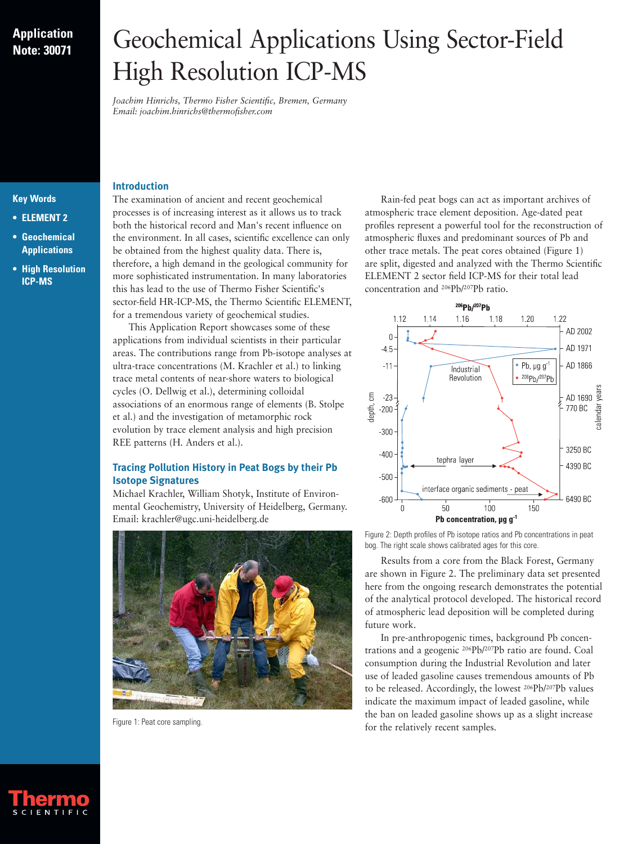## **Application Note: 30071**

# Geochemical Applications Using Sector-Field High Resolution ICP-MS

*Joachim Hinrichs, Thermo Fisher Scientific, Bremen, Germany Email: joachim.hinrichs@thermofisher.com*

## **Key Words**

- **ELEMENT 2**
- **Geochemical Applications**
- **High Resolution ICP-MS**

#### **Introduction**

The examination of ancient and recent geochemical processes is of increasing interest as it allows us to track both the historical record and Man's recent influence on the environment. In all cases, scientific excellence can only be obtained from the highest quality data. There is, therefore, a high demand in the geological community for more sophisticated instrumentation. In many laboratories this has lead to the use of Thermo Fisher Scientific's sector-field HR-ICP-MS, the Thermo Scientific ELEMENT, for a tremendous variety of geochemical studies.

This Application Report showcases some of these applications from individual scientists in their particular areas. The contributions range from Pb-isotope analyses at ultra-trace concentrations (M. Krachler et al.) to linking trace metal contents of near-shore waters to biological cycles (O. Dellwig et al.), determining colloidal associations of an enormous range of elements (B. Stolpe et al.) and the investigation of metamorphic rock evolution by trace element analysis and high precision REE patterns (H. Anders et al.).

### **Tracing Pollution History in Peat Bogs by their Pb Isotope Signatures**

Michael Krachler, William Shotyk, Institute of Environmental Geochemistry, University of Heidelberg, Germany. Email: krachler@ugc.uni-heidelberg.de



Figure 1: Peat core sampling.

Rain-fed peat bogs can act as important archives of atmospheric trace element deposition. Age-dated peat profiles represent a powerful tool for the reconstruction of atmospheric fluxes and predominant sources of Pb and other trace metals. The peat cores obtained (Figure 1) are split, digested and analyzed with the Thermo Scientific ELEMENT 2 sector field ICP-MS for their total lead concentration and 206Pb/207Pb ratio.



Figure 2: Depth profiles of Pb isotope ratios and Pb concentrations in peat bog. The right scale shows calibrated ages for this core.

Results from a core from the Black Forest, Germany are shown in Figure 2. The preliminary data set presented here from the ongoing research demonstrates the potential of the analytical protocol developed. The historical record of atmospheric lead deposition will be completed during future work.

In pre-anthropogenic times, background Pb concentrations and a geogenic 206Pb/207Pb ratio are found. Coal consumption during the Industrial Revolution and later use of leaded gasoline causes tremendous amounts of Pb to be released. Accordingly, the lowest 206Pb/207Pb values indicate the maximum impact of leaded gasoline, while the ban on leaded gasoline shows up as a slight increase for the relatively recent samples.

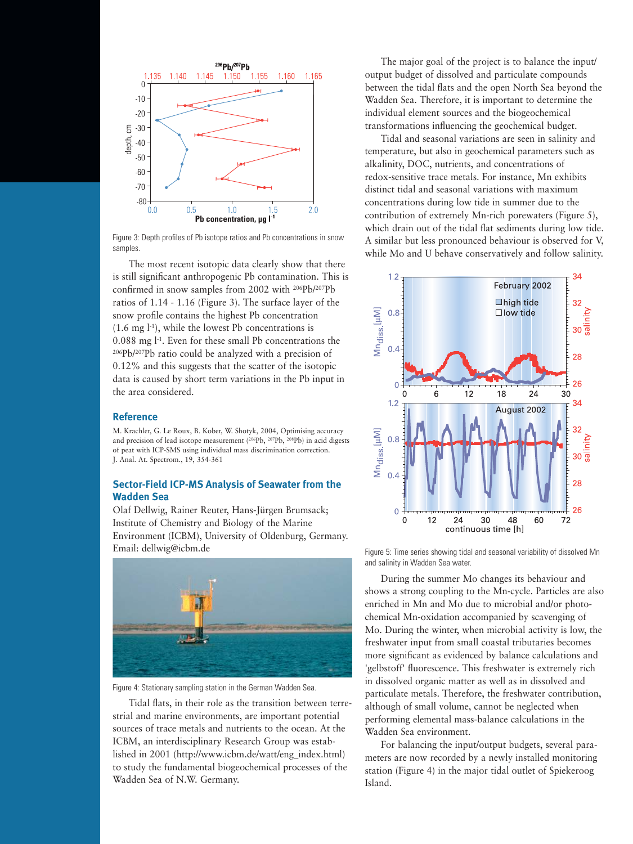

Figure 3: Depth profiles of Pb isotope ratios and Pb concentrations in snow samples.

The most recent isotopic data clearly show that there is still significant anthropogenic Pb contamination. This is confirmed in snow samples from 2002 with 206Pb/207Pb ratios of 1.14 - 1.16 (Figure 3). The surface layer of the snow profile contains the highest Pb concentration  $(1.6 \text{ mg } l^{-1})$ , while the lowest Pb concentrations is 0.088 mg l<sup>-1</sup>. Even for these small Pb concentrations the 206Pb/207Pb ratio could be analyzed with a precision of 0.12% and this suggests that the scatter of the isotopic data is caused by short term variations in the Pb input in the area considered.

#### **Reference**

M. Krachler, G. Le Roux, B. Kober, W. Shotyk, 2004, Optimising accuracy and precision of lead isotope measurement (206Pb, 207Pb, 208Pb) in acid digests of peat with ICP-SMS using individual mass discrimination correction. J. Anal. At. Spectrom., 19, 354-361

#### **Sector-Field ICP-MS Analysis of Seawater from the Wadden Sea**

Olaf Dellwig, Rainer Reuter, Hans-Jürgen Brumsack; Institute of Chemistry and Biology of the Marine Environment (ICBM), University of Oldenburg, Germany. Email: dellwig@icbm.de



Figure 4: Stationary sampling station in the German Wadden Sea.

Tidal flats, in their role as the transition between terrestrial and marine environments, are important potential sources of trace metals and nutrients to the ocean. At the ICBM, an interdisciplinary Research Group was established in 2001 (http://www.icbm.de/watt/eng\_index.html) to study the fundamental biogeochemical processes of the Wadden Sea of N.W. Germany.

The major goal of the project is to balance the input/ output budget of dissolved and particulate compounds between the tidal flats and the open North Sea beyond the Wadden Sea. Therefore, it is important to determine the individual element sources and the biogeochemical transformations influencing the geochemical budget.

Tidal and seasonal variations are seen in salinity and temperature, but also in geochemical parameters such as alkalinity, DOC, nutrients, and concentrations of redox-sensitive trace metals. For instance, Mn exhibits distinct tidal and seasonal variations with maximum concentrations during low tide in summer due to the contribution of extremely Mn-rich porewaters (Figure 5), which drain out of the tidal flat sediments during low tide. A similar but less pronounced behaviour is observed for V, while Mo and U behave conservatively and follow salinity.



Figure 5: Time series showing tidal and seasonal variability of dissolved Mn and salinity in Wadden Sea water.

During the summer Mo changes its behaviour and shows a strong coupling to the Mn-cycle. Particles are also enriched in Mn and Mo due to microbial and/or photochemical Mn-oxidation accompanied by scavenging of Mo. During the winter, when microbial activity is low, the freshwater input from small coastal tributaries becomes more significant as evidenced by balance calculations and 'gelbstoff' fluorescence. This freshwater is extremely rich in dissolved organic matter as well as in dissolved and particulate metals. Therefore, the freshwater contribution, although of small volume, cannot be neglected when performing elemental mass-balance calculations in the Wadden Sea environment.

For balancing the input/output budgets, several parameters are now recorded by a newly installed monitoring station (Figure 4) in the major tidal outlet of Spiekeroog Island.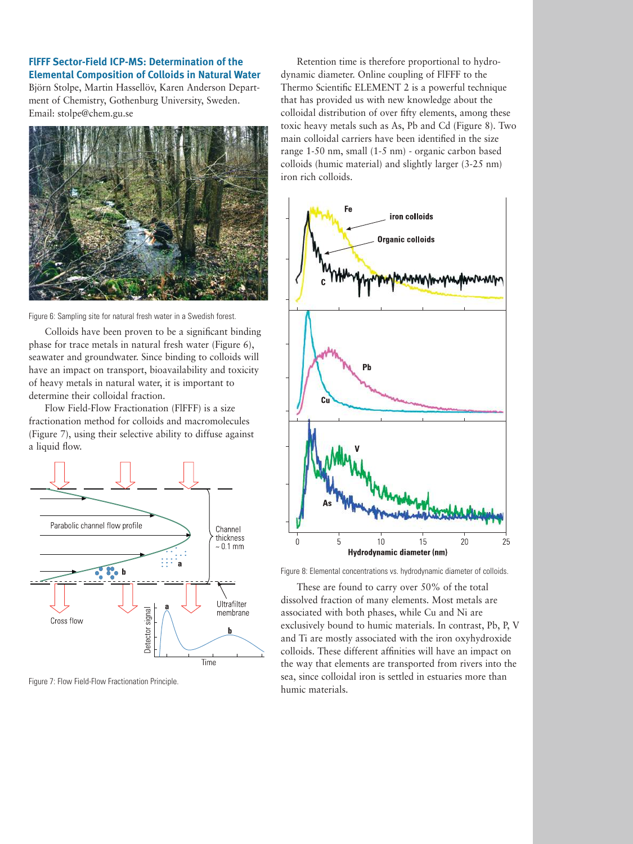## **FlFFF Sector-Field ICP-MS: Determination of the Elemental Composition of Colloids in Natural Water**

Björn Stolpe, Martin Hassellöv, Karen Anderson Department of Chemistry, Gothenburg University, Sweden. Email: stolpe@chem.gu.se



Figure 6: Sampling site for natural fresh water in a Swedish forest.

Colloids have been proven to be a significant binding phase for trace metals in natural fresh water (Figure 6), seawater and groundwater. Since binding to colloids will have an impact on transport, bioavailability and toxicity of heavy metals in natural water, it is important to determine their colloidal fraction.

Flow Field-Flow Fractionation (FlFFF) is a size fractionation method for colloids and macromolecules (Figure 7), using their selective ability to diffuse against a liquid flow.



Figure 7: Flow Field-Flow Fractionation Principle.

Retention time is therefore proportional to hydrodynamic diameter. Online coupling of FlFFF to the Thermo Scientific ELEMENT 2 is a powerful technique that has provided us with new knowledge about the colloidal distribution of over fifty elements, among these toxic heavy metals such as As, Pb and Cd (Figure 8). Two main colloidal carriers have been identified in the size range 1-50 nm, small (1-5 nm) - organic carbon based colloids (humic material) and slightly larger (3-25 nm) iron rich colloids.



Figure 8: Elemental concentrations vs. hydrodynamic diameter of colloids.

These are found to carry over 50% of the total dissolved fraction of many elements. Most metals are associated with both phases, while Cu and Ni are exclusively bound to humic materials. In contrast, Pb, P, V and Ti are mostly associated with the iron oxyhydroxide colloids. These different affinities will have an impact on the way that elements are transported from rivers into the sea, since colloidal iron is settled in estuaries more than humic materials.